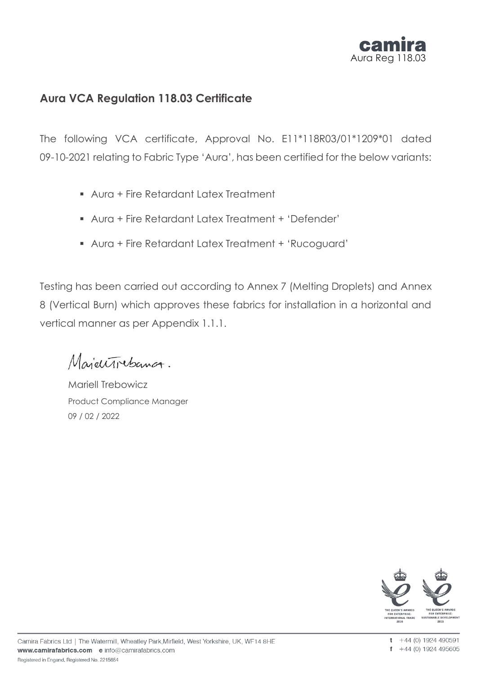

# **Aura VCA Regulation 118.03 Certificate**

The following VCA certificate, Approval No. E11\*118R03/01\*1209\*01 dated 09-10-2021 relating to Fabric Type 'Aura', has been certified for the below variants:

- Aura + Fire Retardant Latex Treatment
- Aura + Fire Retardant Latex Treatment + 'Defender'
- Aura + Fire Retardant Latex Treatment + 'Rucoguard'

Testing has been carried out according to Annex 7 (Melting Droplets) and Annex 8 (Vertical Burn) which approves these fabrics for installation in a horizontal and vertical manner as per Appendix 1.1.1.

MajeuTrebancz.

Mariell Trebowicz Product Compliance Manager 09 / 02 / 2022

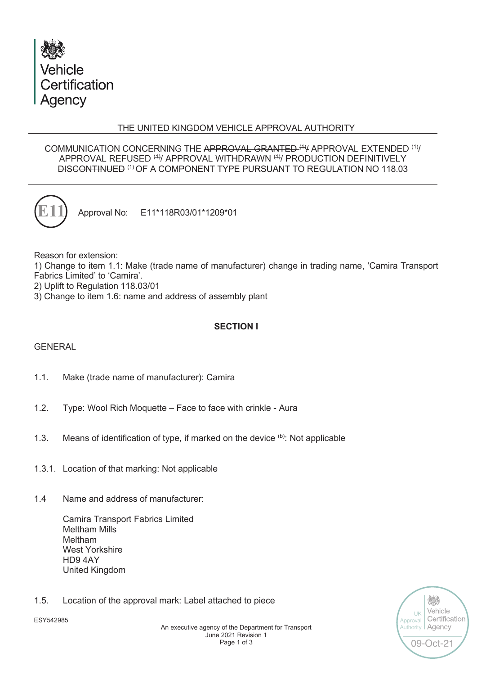

## THE UNITED KINGDOM VEHICLE APPROVAL AUTHORITY

### COMMUNICATION CONCERNING THE APPROVAL GRANTED (1) APPROVAL EXTENDED (1) APPROVAL REFUSED (1)/ APPROVAL WITHDRAWN (1)/ PRODUCTION DEFINITIVELY DISCONTINUED (1) OF A COMPONENT TYPE PURSUANT TO REGULATION NO 118.03



Approval No: E11\*118R03/01\*1209\*01

Reason for extension:

1) Change to item 1.1: Make (trade name of manufacturer) change in trading name, 'Camira Transport Fabrics Limited' to 'Camira'.

2) Uplift to Regulation 118.03/01

3) Change to item 1.6: name and address of assembly plant

# **SECTION I**

## GENERAL

- 1.1. Make (trade name of manufacturer): Camira
- 1.2. Type: Wool Rich Moquette Face to face with crinkle Aura
- 1.3. Means of identification of type, if marked on the device (b): Not applicable
- 1.3.1. Location of that marking: Not applicable
- 1.4 Name and address of manufacturer:

Camira Transport Fabrics Limited Meltham Mills Meltham West Yorkshire HD9 4AY United Kingdom

1.5. Location of the approval mark: Label attached to piece



炒 Vehicle UK Certification Approval Agency **Authority** 09-Oct-21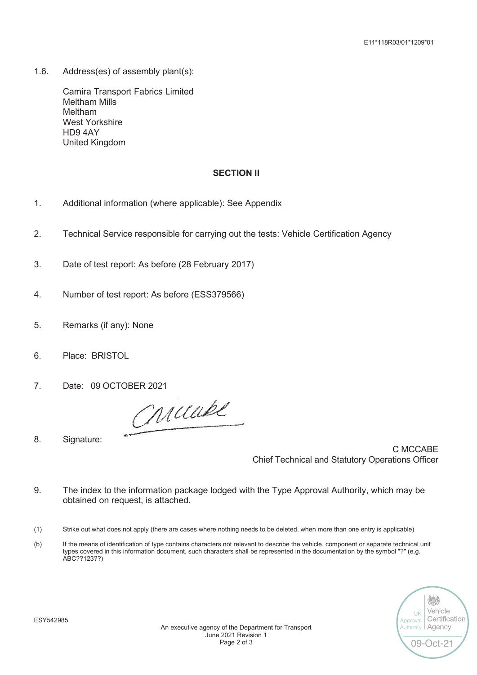1.6. Address(es) of assembly plant(s):

Camira Transport Fabrics Limited Meltham Mills Meltham West Yorkshire HD9 4AY United Kingdom

### **SECTION II**

- 1. Additional information (where applicable): See Appendix
- 2. Technical Service responsible for carrying out the tests: Vehicle Certification Agency
- 3. Date of test report: As before (28 February 2017)
- 4. Number of test report: As before (ESS379566)
- 5. Remarks (if any): None
- 6. Place: BRISTOL
- 7. Date: 09 OCTOBER 2021

Criciabl

8. Signature:

C MCCABE Chief Technical and Statutory Operations Officer

- 9. The index to the information package lodged with the Type Approval Authority, which may be obtained on request, is attached.
- (1) Strike out what does not apply (there are cases where nothing needs to be deleted, when more than one entry is applicable)
- (b) If the means of identification of type contains characters not relevant to describe the vehicle, component or separate technical unit types covered in this information document, such characters shall be represented in the documentation by the symbol "?" (e.g. ABC??123??)

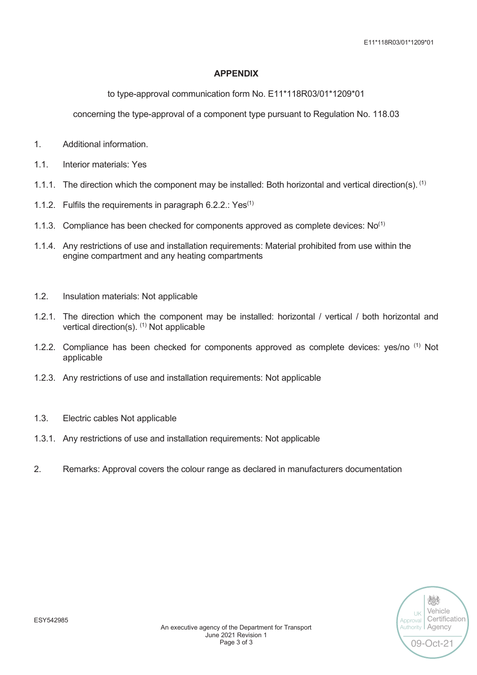E11\*118R03/01\*1209\*01

### **APPENDIX**

to type-approval communication form No. E11\*118R03/01\*1209\*01

concerning the type-approval of a component type pursuant to Regulation No. 118.03

- 1. Additional information.
- 1.1. Interior materials: Yes
- 1.1.1. The direction which the component may be installed: Both horizontal and vertical direction(s). <sup>(1)</sup>
- 1.1.2. Fulfils the requirements in paragraph  $6.2.2$ .: Yes<sup>(1)</sup>
- 1.1.3. Compliance has been checked for components approved as complete devices:  $No^{(1)}$
- 1.1.4. Any restrictions of use and installation requirements: Material prohibited from use within the engine compartment and any heating compartments
- 1.2. Insulation materials: Not applicable
- 1.2.1. The direction which the component may be installed: horizontal / vertical / both horizontal and vertical direction(s).  $(1)$  Not applicable
- 1.2.2. Compliance has been checked for components approved as complete devices: yes/no  $<sup>(1)</sup>$  Not</sup> applicable
- 1.2.3. Any restrictions of use and installation requirements: Not applicable
- 1.3. Electric cables Not applicable
- 1.3.1. Any restrictions of use and installation requirements: Not applicable
- 2. Remarks: Approval covers the colour range as declared in manufacturers documentation

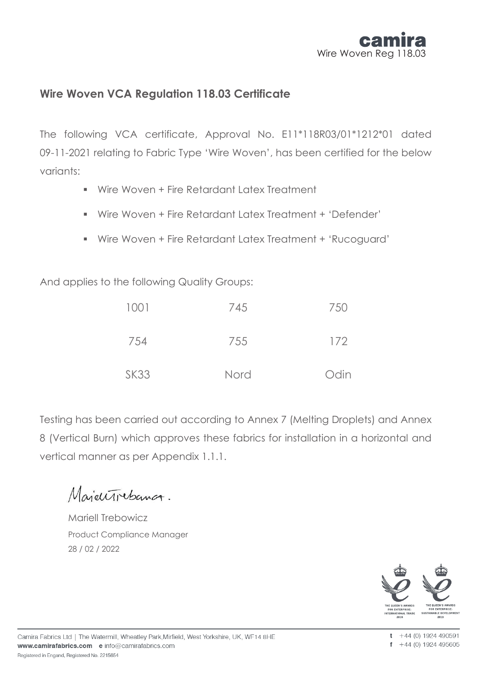

# **Wire Woven VCA Regulation 118.03 Certificate**

The following VCA certificate, Approval No. E11\*118R03/01\*1212\*01 dated 09-11-2021 relating to Fabric Type 'Wire Woven', has been certified for the below variants:

- Wire Woven + Fire Retardant Latex Treatment
- Wire Woven + Fire Retardant Latex Treatment + 'Defender'
- Wire Woven + Fire Retardant Latex Treatment + 'Rucoguard'

And applies to the following Quality Groups:

| 1001        | 745  | 750  |
|-------------|------|------|
| 754         | 755  | 172  |
| <b>SK33</b> | Nord | Odin |

Testing has been carried out according to Annex 7 (Melting Droplets) and Annex 8 (Vertical Burn) which approves these fabrics for installation in a horizontal and vertical manner as per Appendix 1.1.1.

MajeuTrebancz.

Mariell Trebowicz Product Compliance Manager 28 / 02 / 2022

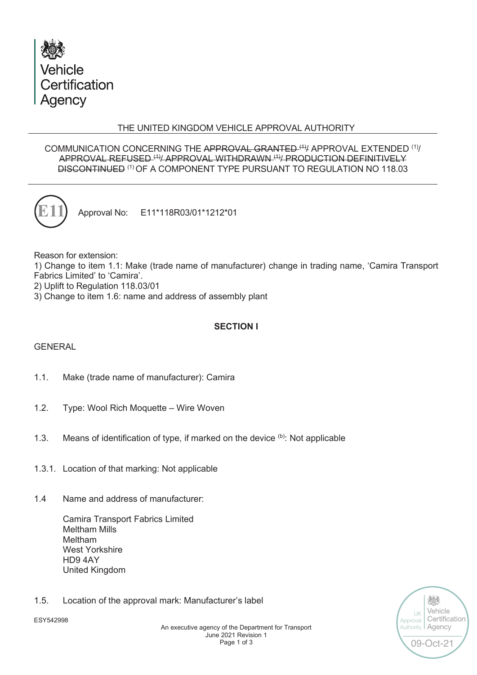

## THE UNITED KINGDOM VEHICLE APPROVAL AUTHORITY

### COMMUNICATION CONCERNING THE APPROVAL GRANTED (1) APPROVAL EXTENDED (1) APPROVAL REFUSED (1)/ APPROVAL WITHDRAWN (1)/ PRODUCTION DEFINITIVELY DISCONTINUED (1) OF A COMPONENT TYPE PURSUANT TO REGULATION NO 118.03



Approval No: E11\*118R03/01\*1212\*01

Reason for extension:

1) Change to item 1.1: Make (trade name of manufacturer) change in trading name, 'Camira Transport Fabrics Limited' to 'Camira'.

2) Uplift to Regulation 118.03/01

3) Change to item 1.6: name and address of assembly plant

# **SECTION I**

## GENERAL

- 1.1. Make (trade name of manufacturer): Camira
- 1.2. Type: Wool Rich Moquette Wire Woven
- 1.3. Means of identification of type, if marked on the device (b): Not applicable
- 1.3.1. Location of that marking: Not applicable
- 1.4 Name and address of manufacturer:

Camira Transport Fabrics Limited Meltham Mills Meltham West Yorkshire HD9 4AY United Kingdom

1.5. Location of the approval mark: Manufacturer's label



炒 Vehicle UK Certification Approval Agency **Authority** 09-Oct-21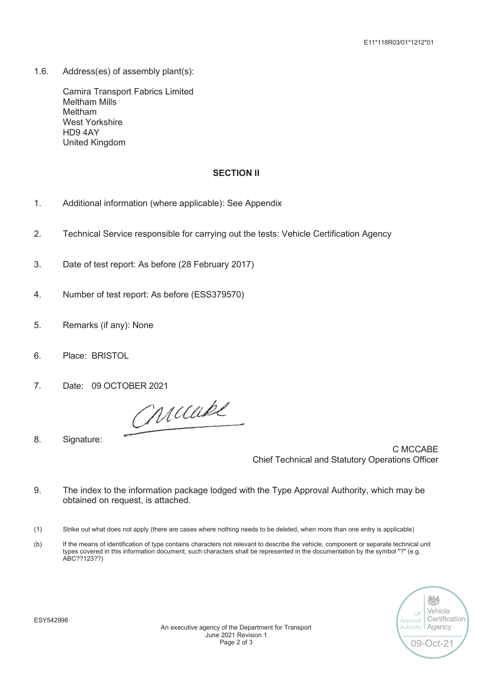1.6. Address(es) of assembly plant(s):

Camira Transport Fabrics Limited Meltham Mills Meltham West Yorkshire HD9 4AY United Kingdom

#### **SECTION II**

- 1. Additional information (where applicable): See Appendix
- 2. Technical Service responsible for carrying out the tests: Vehicle Certification Agency
- 3. Date of test report: As before (28 February 2017)
- 4. Number of test report: As before (ESS379570)
- 5. Remarks (if any): None
- 6. Place: BRISTOL
- 7. Date: 09 OCTOBER 2021

Criciabl

8. Signature:

C MCCABE Chief Technical and Statutory Operations Officer

- 9. The index to the information package lodged with the Type Approval Authority, which may be obtained on request, is attached.
- (1) Strike out what does not apply (there are cases where nothing needs to be deleted, when more than one entry is applicable)
- (b) If the means of identification of type contains characters not relevant to describe the vehicle, component or separate technical unit types covered in this information document, such characters shall be represented in the documentation by the symbol "?" (e.g. ABC??123??)